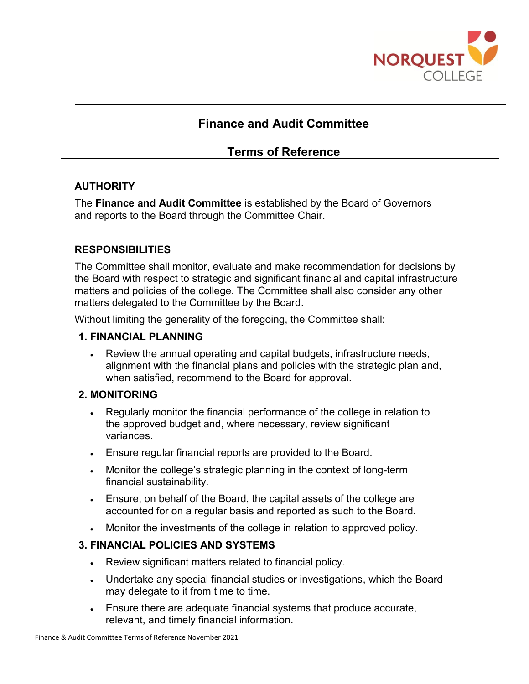

# **Finance and Audit Committee**

# **Terms of Reference**

## **AUTHORITY**

The **Finance and Audit Committee** is established by the Board of Governors and reports to the Board through the Committee Chair.

## **RESPONSIBILITIES**

The Committee shall monitor, evaluate and make recommendation for decisions by the Board with respect to strategic and significant financial and capital infrastructure matters and policies of the college. The Committee shall also consider any other matters delegated to the Committee by the Board.

Without limiting the generality of the foregoing, the Committee shall:

#### **1. FINANCIAL PLANNING**

• Review the annual operating and capital budgets, infrastructure needs, alignment with the financial plans and policies with the strategic plan and, when satisfied, recommend to the Board for approval.

#### **2. MONITORING**

- Regularly monitor the financial performance of the college in relation to the approved budget and, where necessary, review significant variances.
- Ensure regular financial reports are provided to the Board.
- Monitor the college's strategic planning in the context of long-term financial sustainability.
- Ensure, on behalf of the Board, the capital assets of the college are accounted for on a regular basis and reported as such to the Board.
- Monitor the investments of the college in relation to approved policy.

#### **3. FINANCIAL POLICIES AND SYSTEMS**

- Review significant matters related to financial policy.
- Undertake any special financial studies or investigations, which the Board may delegate to it from time to time.
- Ensure there are adequate financial systems that produce accurate, relevant, and timely financial information.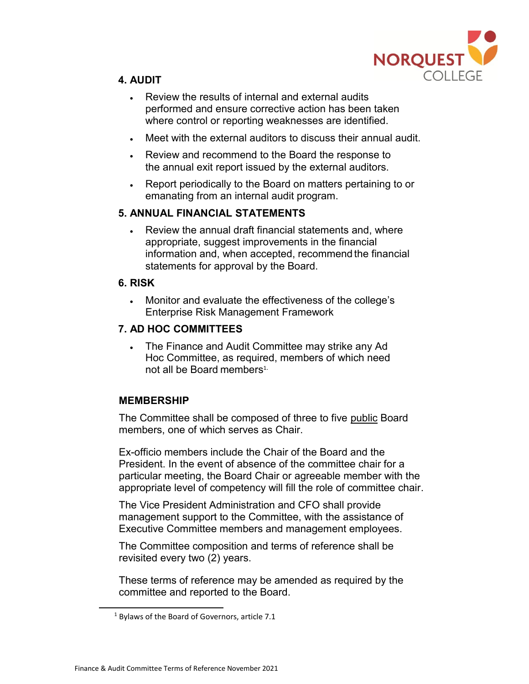

# **4. AUDIT**

- Review the results of internal and external audits performed and ensure corrective action has been taken where control or reporting weaknesses are identified.
- Meet with the external auditors to discuss their annual audit.
- Review and recommend to the Board the response to the annual exit report issued by the external auditors.
- Report periodically to the Board on matters pertaining to or emanating from an internal audit program.

# **5. ANNUAL FINANCIAL STATEMENTS**

• Review the annual draft financial statements and, where appropriate, suggest improvements in the financial information and, when accepted, recommend the financial statements for approval by the Board.

## **6. RISK**

• Monitor and evaluate the effectiveness of the college's Enterprise Risk Management Framework

# **7. AD HOC COMMITTEES**

• The Finance and Audit Committee may strike any Ad Hoc Committee, as required, members of which need not all be Board members<sup>1.</sup>

# **MEMBERSHIP**

The Committee shall be composed of three to five public Board members, one of which serves as Chair.

Ex-officio members include the Chair of the Board and the President. In the event of absence of the committee chair for a particular meeting, the Board Chair or agreeable member with the appropriate level of competency will fill the role of committee chair.

The Vice President Administration and CFO shall provide management support to the Committee, with the assistance of Executive Committee members and management employees.

The Committee composition and terms of reference shall be revisited every two (2) years.

These terms of reference may be amended as required by the committee and reported to the Board.

 $1$  Bylaws of the Board of Governors, article 7.1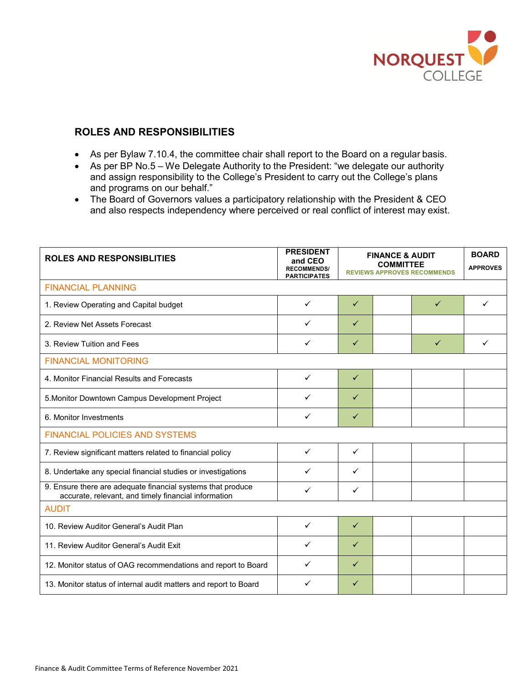

#### **ROLES AND RESPONSIBILITIES**

- As per Bylaw 7.10.4, the committee chair shall report to the Board on a regular basis.
- As per BP No.5 We Delegate Authority to the President: "we delegate our authority and assign responsibility to the College's President to carry out the College's plans and programs on our behalf."
- The Board of Governors values a participatory relationship with the President & CEO and also respects independency where perceived or real conflict of interest may exist.

| <b>ROLES AND RESPONSIBLITIES</b>                                                                                    | <b>PRESIDENT</b><br>and CEO<br><b>RECOMMENDS/</b><br><b>PARTICIPATES</b> | <b>FINANCE &amp; AUDIT</b><br><b>COMMITTEE</b><br><b>REVIEWS APPROVES RECOMMENDS</b> |  |              | <b>BOARD</b><br><b>APPROVES</b> |  |  |
|---------------------------------------------------------------------------------------------------------------------|--------------------------------------------------------------------------|--------------------------------------------------------------------------------------|--|--------------|---------------------------------|--|--|
| <b>FINANCIAL PLANNING</b>                                                                                           |                                                                          |                                                                                      |  |              |                                 |  |  |
| 1. Review Operating and Capital budget                                                                              | ✓                                                                        | $\checkmark$                                                                         |  | ✓            | ✓                               |  |  |
| 2. Review Net Assets Forecast                                                                                       | ✓                                                                        | $\checkmark$                                                                         |  |              |                                 |  |  |
| 3. Review Tuition and Fees                                                                                          | ✓                                                                        | $\checkmark$                                                                         |  | $\checkmark$ | ✓                               |  |  |
| <b>FINANCIAL MONITORING</b>                                                                                         |                                                                          |                                                                                      |  |              |                                 |  |  |
| 4. Monitor Financial Results and Forecasts                                                                          | ✓                                                                        | $\checkmark$                                                                         |  |              |                                 |  |  |
| 5. Monitor Downtown Campus Development Project                                                                      | ✓                                                                        | $\checkmark$                                                                         |  |              |                                 |  |  |
| 6. Monitor Investments                                                                                              | ✓                                                                        | $\checkmark$                                                                         |  |              |                                 |  |  |
| <b>FINANCIAL POLICIES AND SYSTEMS</b>                                                                               |                                                                          |                                                                                      |  |              |                                 |  |  |
| 7. Review significant matters related to financial policy                                                           | ✓                                                                        | $\checkmark$                                                                         |  |              |                                 |  |  |
| 8. Undertake any special financial studies or investigations                                                        | ✓                                                                        | $\checkmark$                                                                         |  |              |                                 |  |  |
| 9. Ensure there are adequate financial systems that produce<br>accurate, relevant, and timely financial information | ✓                                                                        | ✓                                                                                    |  |              |                                 |  |  |
| <b>AUDIT</b>                                                                                                        |                                                                          |                                                                                      |  |              |                                 |  |  |
| 10. Review Auditor General's Audit Plan                                                                             | $\checkmark$                                                             | $\checkmark$                                                                         |  |              |                                 |  |  |
| 11. Review Auditor General's Audit Exit                                                                             | ✓                                                                        | $\checkmark$                                                                         |  |              |                                 |  |  |
| 12. Monitor status of OAG recommendations and report to Board                                                       | ✓                                                                        | $\checkmark$                                                                         |  |              |                                 |  |  |
| 13. Monitor status of internal audit matters and report to Board                                                    | ✓                                                                        | $\checkmark$                                                                         |  |              |                                 |  |  |